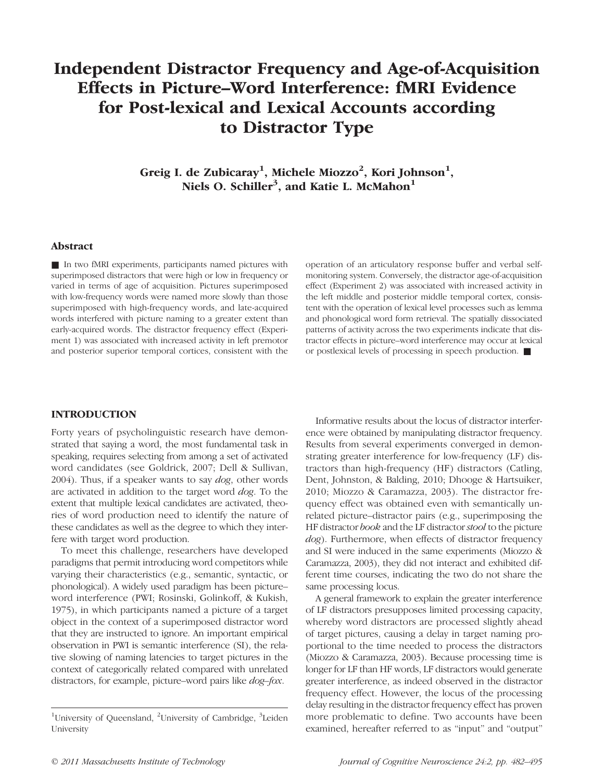# Independent Distractor Frequency and Age-of-Acquisition Effects in Picture–Word Interference: fMRI Evidence for Post-lexical and Lexical Accounts according to Distractor Type

Greig I. de Zubicaray<sup>1</sup>, Michele Miozzo<sup>2</sup>, Kori Johnson<sup>1</sup>, Niels O. Schiller<sup>3</sup>, and Katie L. McMahon<sup>1</sup>

## Abstract

■ In two fMRI experiments, participants named pictures with superimposed distractors that were high or low in frequency or varied in terms of age of acquisition. Pictures superimposed with low-frequency words were named more slowly than those superimposed with high-frequency words, and late-acquired words interfered with picture naming to a greater extent than early-acquired words. The distractor frequency effect (Experiment 1) was associated with increased activity in left premotor and posterior superior temporal cortices, consistent with the

operation of an articulatory response buffer and verbal selfmonitoring system. Conversely, the distractor age-of-acquisition effect (Experiment 2) was associated with increased activity in the left middle and posterior middle temporal cortex, consistent with the operation of lexical level processes such as lemma and phonological word form retrieval. The spatially dissociated patterns of activity across the two experiments indicate that distractor effects in picture–word interference may occur at lexical or postlexical levels of processing in speech production. ■

## **INTRODUCTION**

Forty years of psycholinguistic research have demonstrated that saying a word, the most fundamental task in speaking, requires selecting from among a set of activated word candidates (see Goldrick, 2007; Dell & Sullivan, 2004). Thus, if a speaker wants to say dog, other words are activated in addition to the target word dog. To the extent that multiple lexical candidates are activated, theories of word production need to identify the nature of these candidates as well as the degree to which they interfere with target word production.

To meet this challenge, researchers have developed paradigms that permit introducing word competitors while varying their characteristics (e.g., semantic, syntactic, or phonological). A widely used paradigm has been picture– word interference (PWI; Rosinski, Golinkoff, & Kukish, 1975), in which participants named a picture of a target object in the context of a superimposed distractor word that they are instructed to ignore. An important empirical observation in PWI is semantic interference (SI), the relative slowing of naming latencies to target pictures in the context of categorically related compared with unrelated distractors, for example, picture–word pairs like dog–fox.

Informative results about the locus of distractor interference were obtained by manipulating distractor frequency. Results from several experiments converged in demonstrating greater interference for low-frequency (LF) distractors than high-frequency (HF) distractors (Catling, Dent, Johnston, & Balding, 2010; Dhooge & Hartsuiker, 2010; Miozzo & Caramazza, 2003). The distractor frequency effect was obtained even with semantically unrelated picture–distractor pairs (e.g., superimposing the HF distractor book and the LF distractor stool to the picture dog). Furthermore, when effects of distractor frequency and SI were induced in the same experiments (Miozzo & Caramazza, 2003), they did not interact and exhibited different time courses, indicating the two do not share the same processing locus.

A general framework to explain the greater interference of LF distractors presupposes limited processing capacity, whereby word distractors are processed slightly ahead of target pictures, causing a delay in target naming proportional to the time needed to process the distractors (Miozzo & Caramazza, 2003). Because processing time is longer for LF than HF words, LF distractors would generate greater interference, as indeed observed in the distractor frequency effect. However, the locus of the processing delay resulting in the distractor frequency effect has proven more problematic to define. Two accounts have been examined, hereafter referred to as "input" and "output"

<sup>&</sup>lt;sup>1</sup>University of Queensland, <sup>2</sup>University of Cambridge, <sup>3</sup>Leiden University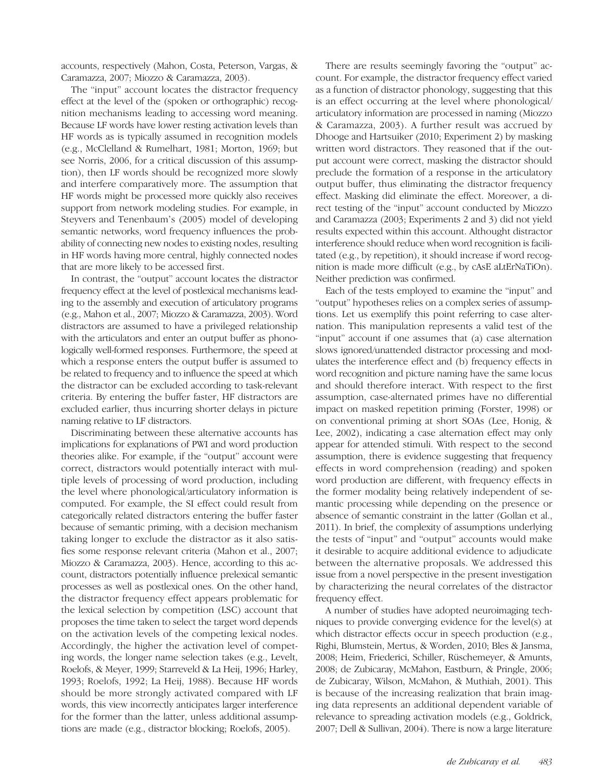accounts, respectively (Mahon, Costa, Peterson, Vargas, & Caramazza, 2007; Miozzo & Caramazza, 2003).

The "input" account locates the distractor frequency effect at the level of the (spoken or orthographic) recognition mechanisms leading to accessing word meaning. Because LF words have lower resting activation levels than HF words as is typically assumed in recognition models (e.g., McClelland & Rumelhart, 1981; Morton, 1969; but see Norris, 2006, for a critical discussion of this assumption), then LF words should be recognized more slowly and interfere comparatively more. The assumption that HF words might be processed more quickly also receives support from network modeling studies. For example, in Steyvers and Tenenbaum's (2005) model of developing semantic networks, word frequency influences the probability of connecting new nodes to existing nodes, resulting in HF words having more central, highly connected nodes that are more likely to be accessed first.

In contrast, the "output" account locates the distractor frequency effect at the level of postlexical mechanisms leading to the assembly and execution of articulatory programs (e.g., Mahon et al., 2007; Miozzo & Caramazza, 2003). Word distractors are assumed to have a privileged relationship with the articulators and enter an output buffer as phonologically well-formed responses. Furthermore, the speed at which a response enters the output buffer is assumed to be related to frequency and to influence the speed at which the distractor can be excluded according to task-relevant criteria. By entering the buffer faster, HF distractors are excluded earlier, thus incurring shorter delays in picture naming relative to LF distractors.

Discriminating between these alternative accounts has implications for explanations of PWI and word production theories alike. For example, if the "output" account were correct, distractors would potentially interact with multiple levels of processing of word production, including the level where phonological/articulatory information is computed. For example, the SI effect could result from categorically related distractors entering the buffer faster because of semantic priming, with a decision mechanism taking longer to exclude the distractor as it also satisfies some response relevant criteria (Mahon et al., 2007; Miozzo & Caramazza, 2003). Hence, according to this account, distractors potentially influence prelexical semantic processes as well as postlexical ones. On the other hand, the distractor frequency effect appears problematic for the lexical selection by competition (LSC) account that proposes the time taken to select the target word depends on the activation levels of the competing lexical nodes. Accordingly, the higher the activation level of competing words, the longer name selection takes (e.g., Levelt, Roelofs, & Meyer, 1999; Starreveld & La Heij, 1996; Harley, 1993; Roelofs, 1992; La Heij, 1988). Because HF words should be more strongly activated compared with LF words, this view incorrectly anticipates larger interference for the former than the latter, unless additional assumptions are made (e.g., distractor blocking; Roelofs, 2005).

There are results seemingly favoring the "output" account. For example, the distractor frequency effect varied as a function of distractor phonology, suggesting that this is an effect occurring at the level where phonological/ articulatory information are processed in naming (Miozzo & Caramazza, 2003). A further result was accrued by Dhooge and Hartsuiker (2010; Experiment 2) by masking written word distractors. They reasoned that if the output account were correct, masking the distractor should preclude the formation of a response in the articulatory output buffer, thus eliminating the distractor frequency effect. Masking did eliminate the effect. Moreover, a direct testing of the "input" account conducted by Miozzo and Caramazza (2003; Experiments 2 and 3) did not yield results expected within this account. Althought distractor interference should reduce when word recognition is facilitated (e.g., by repetition), it should increase if word recognition is made more difficult (e.g., by cAsE aLtErNaTiOn). Neither prediction was confirmed.

Each of the tests employed to examine the "input" and "output" hypotheses relies on a complex series of assumptions. Let us exemplify this point referring to case alternation. This manipulation represents a valid test of the "input" account if one assumes that (a) case alternation slows ignored/unattended distractor processing and modulates the interference effect and (b) frequency effects in word recognition and picture naming have the same locus and should therefore interact. With respect to the first assumption, case-alternated primes have no differential impact on masked repetition priming (Forster, 1998) or on conventional priming at short SOAs (Lee, Honig, & Lee, 2002), indicating a case alternation effect may only appear for attended stimuli. With respect to the second assumption, there is evidence suggesting that frequency effects in word comprehension (reading) and spoken word production are different, with frequency effects in the former modality being relatively independent of semantic processing while depending on the presence or absence of semantic constraint in the latter (Gollan et al., 2011). In brief, the complexity of assumptions underlying the tests of "input" and "output" accounts would make it desirable to acquire additional evidence to adjudicate between the alternative proposals. We addressed this issue from a novel perspective in the present investigation by characterizing the neural correlates of the distractor frequency effect.

A number of studies have adopted neuroimaging techniques to provide converging evidence for the level(s) at which distractor effects occur in speech production (e.g., Righi, Blumstein, Mertus, & Worden, 2010; Bles & Jansma, 2008; Heim, Friederici, Schiller, Rüschemeyer, & Amunts, 2008; de Zubicaray, McMahon, Eastburn, & Pringle, 2006; de Zubicaray, Wilson, McMahon, & Muthiah, 2001). This is because of the increasing realization that brain imaging data represents an additional dependent variable of relevance to spreading activation models (e.g., Goldrick, 2007; Dell & Sullivan, 2004). There is now a large literature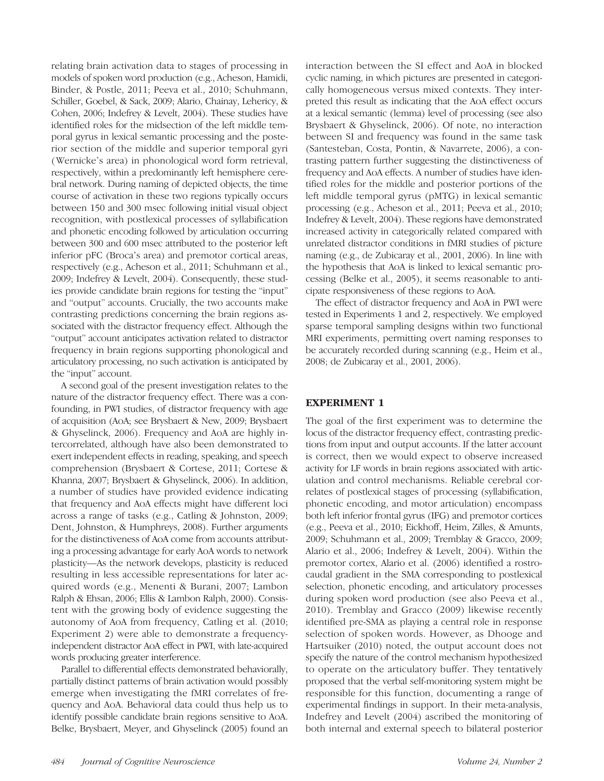relating brain activation data to stages of processing in models of spoken word production (e.g., Acheson, Hamidi, Binder, & Postle, 2011; Peeva et al., 2010; Schuhmann, Schiller, Goebel, & Sack, 2009; Alario, Chainay, Lehericy, & Cohen, 2006; Indefrey & Levelt, 2004). These studies have identified roles for the midsection of the left middle temporal gyrus in lexical semantic processing and the posterior section of the middle and superior temporal gyri (Wernicke's area) in phonological word form retrieval, respectively, within a predominantly left hemisphere cerebral network. During naming of depicted objects, the time course of activation in these two regions typically occurs between 150 and 300 msec following initial visual object recognition, with postlexical processes of syllabification and phonetic encoding followed by articulation occurring between 300 and 600 msec attributed to the posterior left inferior pFC (Broca's area) and premotor cortical areas, respectively (e.g., Acheson et al., 2011; Schuhmann et al., 2009; Indefrey & Levelt, 2004). Consequently, these studies provide candidate brain regions for testing the "input" and "output" accounts. Crucially, the two accounts make contrasting predictions concerning the brain regions associated with the distractor frequency effect. Although the "output" account anticipates activation related to distractor frequency in brain regions supporting phonological and articulatory processing, no such activation is anticipated by the "input" account.

A second goal of the present investigation relates to the nature of the distractor frequency effect. There was a confounding, in PWI studies, of distractor frequency with age of acquisition (AoA; see Brysbaert & New, 2009; Brysbaert & Ghyselinck, 2006). Frequency and AoA are highly intercorrelated, although have also been demonstrated to exert independent effects in reading, speaking, and speech comprehension (Brysbaert & Cortese, 2011; Cortese & Khanna, 2007; Brysbaert & Ghyselinck, 2006). In addition, a number of studies have provided evidence indicating that frequency and AoA effects might have different loci across a range of tasks (e.g., Catling & Johnston, 2009; Dent, Johnston, & Humphreys, 2008). Further arguments for the distinctiveness of AoA come from accounts attributing a processing advantage for early AoA words to network plasticity—As the network develops, plasticity is reduced resulting in less accessible representations for later acquired words (e.g., Menenti & Burani, 2007; Lambon Ralph & Ehsan, 2006; Ellis & Lambon Ralph, 2000). Consistent with the growing body of evidence suggesting the autonomy of AoA from frequency, Catling et al. (2010; Experiment 2) were able to demonstrate a frequencyindependent distractor AoA effect in PWI, with late-acquired words producing greater interference.

Parallel to differential effects demonstrated behaviorally, partially distinct patterns of brain activation would possibly emerge when investigating the fMRI correlates of frequency and AoA. Behavioral data could thus help us to identify possible candidate brain regions sensitive to AoA. Belke, Brysbaert, Meyer, and Ghyselinck (2005) found an

interaction between the SI effect and AoA in blocked cyclic naming, in which pictures are presented in categorically homogeneous versus mixed contexts. They interpreted this result as indicating that the AoA effect occurs at a lexical semantic (lemma) level of processing (see also Brysbaert & Ghyselinck, 2006). Of note, no interaction between SI and frequency was found in the same task (Santesteban, Costa, Pontin, & Navarrete, 2006), a contrasting pattern further suggesting the distinctiveness of frequency and AoA effects. A number of studies have identified roles for the middle and posterior portions of the left middle temporal gyrus (pMTG) in lexical semantic processing (e.g., Acheson et al., 2011; Peeva et al., 2010; Indefrey & Levelt, 2004). These regions have demonstrated increased activity in categorically related compared with unrelated distractor conditions in fMRI studies of picture naming (e.g., de Zubicaray et al., 2001, 2006). In line with the hypothesis that AoA is linked to lexical semantic processing (Belke et al., 2005), it seems reasonable to anticipate responsiveness of these regions to AoA.

The effect of distractor frequency and AoA in PWI were tested in Experiments 1 and 2, respectively. We employed sparse temporal sampling designs within two functional MRI experiments, permitting overt naming responses to be accurately recorded during scanning (e.g., Heim et al., 2008; de Zubicaray et al., 2001, 2006).

## EXPERIMENT 1

The goal of the first experiment was to determine the locus of the distractor frequency effect, contrasting predictions from input and output accounts. If the latter account is correct, then we would expect to observe increased activity for LF words in brain regions associated with articulation and control mechanisms. Reliable cerebral correlates of postlexical stages of processing (syllabification, phonetic encoding, and motor articulation) encompass both left inferior frontal gyrus (IFG) and premotor cortices (e.g., Peeva et al., 2010; Eickhoff, Heim, Zilles, & Amunts, 2009; Schuhmann et al., 2009; Tremblay & Gracco, 2009; Alario et al., 2006; Indefrey & Levelt, 2004). Within the premotor cortex, Alario et al. (2006) identified a rostrocaudal gradient in the SMA corresponding to postlexical selection, phonetic encoding, and articulatory processes during spoken word production (see also Peeva et al., 2010). Tremblay and Gracco (2009) likewise recently identified pre-SMA as playing a central role in response selection of spoken words. However, as Dhooge and Hartsuiker (2010) noted, the output account does not specify the nature of the control mechanism hypothesized to operate on the articulatory buffer. They tentatively proposed that the verbal self-monitoring system might be responsible for this function, documenting a range of experimental findings in support. In their meta-analysis, Indefrey and Levelt (2004) ascribed the monitoring of both internal and external speech to bilateral posterior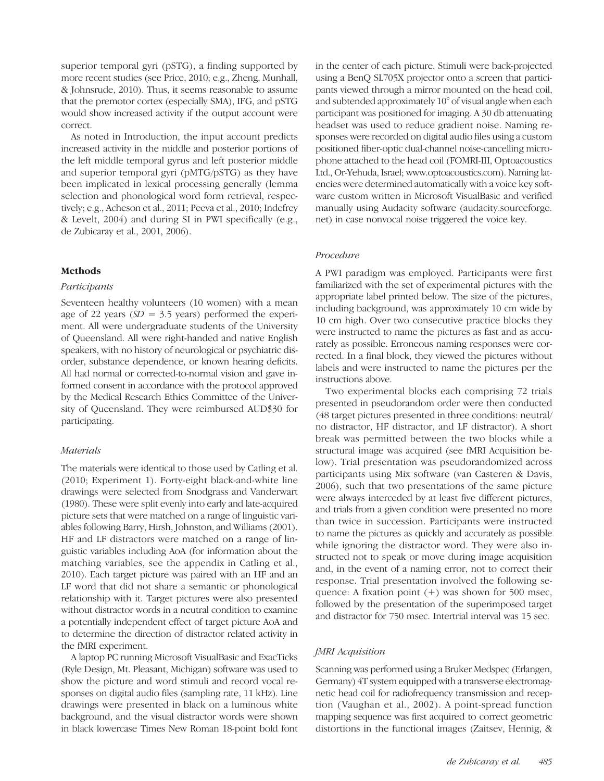superior temporal gyri (pSTG), a finding supported by more recent studies (see Price, 2010; e.g., Zheng, Munhall, & Johnsrude, 2010). Thus, it seems reasonable to assume that the premotor cortex (especially SMA), IFG, and pSTG would show increased activity if the output account were correct.

As noted in Introduction, the input account predicts increased activity in the middle and posterior portions of the left middle temporal gyrus and left posterior middle and superior temporal gyri (pMTG/pSTG) as they have been implicated in lexical processing generally (lemma selection and phonological word form retrieval, respectively; e.g., Acheson et al., 2011; Peeva et al., 2010; Indefrey & Levelt, 2004) and during SI in PWI specifically (e.g., de Zubicaray et al., 2001, 2006).

## Methods

#### Participants

Seventeen healthy volunteers (10 women) with a mean age of 22 years ( $SD = 3.5$  years) performed the experiment. All were undergraduate students of the University of Queensland. All were right-handed and native English speakers, with no history of neurological or psychiatric disorder, substance dependence, or known hearing deficits. All had normal or corrected-to-normal vision and gave informed consent in accordance with the protocol approved by the Medical Research Ethics Committee of the University of Queensland. They were reimbursed AUD\$30 for participating.

## **Materials**

The materials were identical to those used by Catling et al. (2010; Experiment 1). Forty-eight black-and-white line drawings were selected from Snodgrass and Vanderwart (1980). These were split evenly into early and late-acquired picture sets that were matched on a range of linguistic variables following Barry, Hirsh, Johnston, and Williams (2001). HF and LF distractors were matched on a range of linguistic variables including AoA (for information about the matching variables, see the appendix in Catling et al., 2010). Each target picture was paired with an HF and an LF word that did not share a semantic or phonological relationship with it. Target pictures were also presented without distractor words in a neutral condition to examine a potentially independent effect of target picture AoA and to determine the direction of distractor related activity in the fMRI experiment.

A laptop PC running Microsoft VisualBasic and ExacTicks (Ryle Design, Mt. Pleasant, Michigan) software was used to show the picture and word stimuli and record vocal responses on digital audio files (sampling rate, 11 kHz). Line drawings were presented in black on a luminous white background, and the visual distractor words were shown in black lowercase Times New Roman 18-point bold font

in the center of each picture. Stimuli were back-projected using a BenQ SL705X projector onto a screen that participants viewed through a mirror mounted on the head coil, and subtended approximately 10° of visual angle when each participant was positioned for imaging. A 30 db attenuating headset was used to reduce gradient noise. Naming responses were recorded on digital audio files using a custom positioned fiber-optic dual-channel noise-cancelling microphone attached to the head coil (FOMRI-III, Optoacoustics Ltd., Or-Yehuda, Israel; www.optoacoustics.com). Naming latencies were determined automatically with a voice key software custom written in Microsoft VisualBasic and verified manually using Audacity software (audacity.sourceforge. net) in case nonvocal noise triggered the voice key.

## Procedure

A PWI paradigm was employed. Participants were first familiarized with the set of experimental pictures with the appropriate label printed below. The size of the pictures, including background, was approximately 10 cm wide by 10 cm high. Over two consecutive practice blocks they were instructed to name the pictures as fast and as accurately as possible. Erroneous naming responses were corrected. In a final block, they viewed the pictures without labels and were instructed to name the pictures per the instructions above.

Two experimental blocks each comprising 72 trials presented in pseudorandom order were then conducted (48 target pictures presented in three conditions: neutral/ no distractor, HF distractor, and LF distractor). A short break was permitted between the two blocks while a structural image was acquired (see fMRI Acquisition below). Trial presentation was pseudorandomized across participants using Mix software (van Casteren & Davis, 2006), such that two presentations of the same picture were always interceded by at least five different pictures, and trials from a given condition were presented no more than twice in succession. Participants were instructed to name the pictures as quickly and accurately as possible while ignoring the distractor word. They were also instructed not to speak or move during image acquisition and, in the event of a naming error, not to correct their response. Trial presentation involved the following sequence: A fixation point  $(+)$  was shown for 500 msec, followed by the presentation of the superimposed target and distractor for 750 msec. Intertrial interval was 15 sec.

## fMRI Acquisition

Scanning was performed using a Bruker Medspec (Erlangen, Germany) 4T system equipped with a transverse electromagnetic head coil for radiofrequency transmission and reception (Vaughan et al., 2002). A point-spread function mapping sequence was first acquired to correct geometric distortions in the functional images (Zaitsev, Hennig, &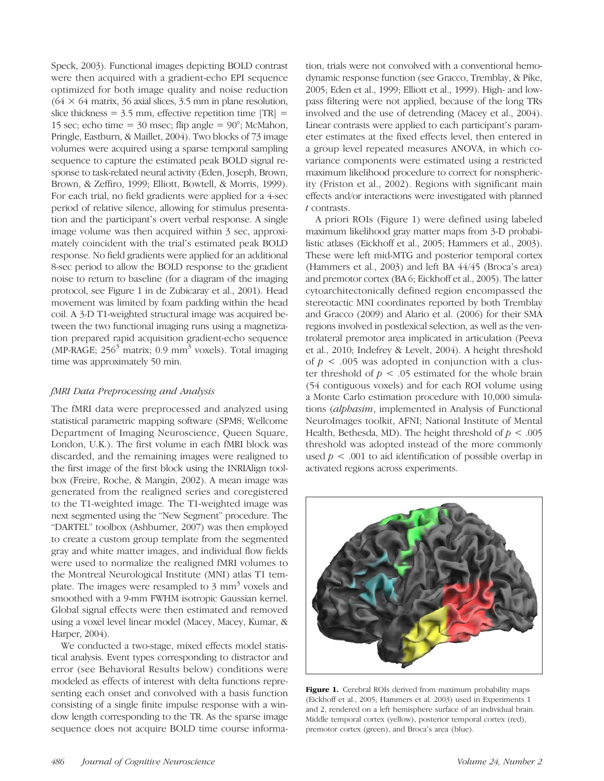Speck, 2003). Functional images depicting BOLD contrast were then acquired with a gradient-echo EPI sequence optimized for both image quality and noise reduction  $(64 \times 64$  matrix, 36 axial slices, 3.5 mm in plane resolution, slice thickness =  $3.5$  mm, effective repetition time  $|TR|$  = 15 sec; echo time =  $30$  msec; flip angle =  $90^\circ$ ; McMahon, Pringle, Eastburn, & Maillet, 2004). Two blocks of 73 image volumes were acquired using a sparse temporal sampling sequence to capture the estimated peak BOLD signal response to task-related neural activity (Eden, Joseph, Brown, Brown, & Zeffiro, 1999; Elliott, Bowtell, & Morris, 1999). For each trial, no field gradients were applied for a 4-sec period of relative silence, allowing for stimulus presentation and the participant's overt verbal response. A single image volume was then acquired within 3 sec, approximately coincident with the trial's estimated peak BOLD response. No field gradients were applied for an additional 8-sec period to allow the BOLD response to the gradient noise to return to baseline (for a diagram of the imaging protocol, see Figure 1 in de Zubicaray et al., 2001). Head movement was limited by foam padding within the head coil. A 3-D T1-weighted structural image was acquired between the two functional imaging runs using a magnetization prepared rapid acquisition gradient-echo sequence (MP-RAGE;  $256<sup>3</sup>$  matrix; 0.9 mm<sup>3</sup> voxels). Total imaging time was approximately 50 min.

## fMRI Data Preprocessing and Analysis

The fMRI data were preprocessed and analyzed using statistical parametric mapping software (SPM8; Wellcome Department of Imaging Neuroscience, Queen Square, London, U.K.). The first volume in each fMRI block was discarded, and the remaining images were realigned to the first image of the first block using the INRIAlign toolbox (Freire, Roche, & Mangin, 2002). A mean image was generated from the realigned series and coregistered to the T1-weighted image. The T1-weighted image was next segmented using the "New Segment" procedure. The "DARTEL" toolbox (Ashburner, 2007) was then employed to create a custom group template from the segmented gray and white matter images, and individual flow fields were used to normalize the realigned fMRI volumes to the Montreal Neurological Institute (MNI) atlas T1 template. The images were resampled to  $3 \text{ mm}^3$  voxels and smoothed with a 9-mm FWHM isotropic Gaussian kernel. Global signal effects were then estimated and removed using a voxel level linear model (Macey, Macey, Kumar, & Harper, 2004).

We conducted a two-stage, mixed effects model statistical analysis. Event types corresponding to distractor and error (see Behavioral Results below) conditions were modeled as effects of interest with delta functions representing each onset and convolved with a basis function consisting of a single finite impulse response with a window length corresponding to the TR. As the sparse image sequence does not acquire BOLD time course information, trials were not convolved with a conventional hemodynamic response function (see Gracco, Tremblay, & Pike, 2005; Eden et al., 1999; Elliott et al., 1999). High- and lowpass filtering were not applied, because of the long TRs involved and the use of detrending (Macey et al., 2004). Linear contrasts were applied to each participant's parameter estimates at the fixed effects level, then entered in a group level repeated measures ANOVA, in which covariance components were estimated using a restricted maximum likelihood procedure to correct for nonsphericity (Friston et al., 2002). Regions with significant main effects and/or interactions were investigated with planned t contrasts.

A priori ROIs (Figure 1) were defined using labeled maximum likelihood gray matter maps from 3-D probabilistic atlases (Eickhoff et al., 2005; Hammers et al., 2003). These were left mid-MTG and posterior temporal cortex (Hammers et al., 2003) and left BA 44/45 (Broca's area) and premotor cortex (BA 6; Eickhoff et al., 2005). The latter cytoarchitectonically defined region encompassed the stereotactic MNI coordinates reported by both Tremblay and Gracco (2009) and Alario et al. (2006) for their SMA regions involved in postlexical selection, as well as the ventrolateral premotor area implicated in articulation (Peeva et al., 2010; Indefrey & Levelt, 2004). A height threshold of  $p < .005$  was adopted in conjunction with a cluster threshold of  $p < .05$  estimated for the whole brain (54 contiguous voxels) and for each ROI volume using a Monte Carlo estimation procedure with 10,000 simulations (alphasim, implemented in Analysis of Functional NeuroImages toolkit, AFNI; National Institute of Mental Health, Bethesda, MD). The height threshold of  $p < .005$ threshold was adopted instead of the more commonly used  $p < .001$  to aid identification of possible overlap in activated regions across experiments.



Figure 1. Cerebral ROIs derived from maximum probability maps (Eickhoff et al., 2005; Hammers et al. 2003) used in Experiments 1 and 2, rendered on a left hemisphere surface of an individual brain. Middle temporal cortex (yellow), posterior temporal cortex (red), premotor cortex (green), and Broca's area (blue).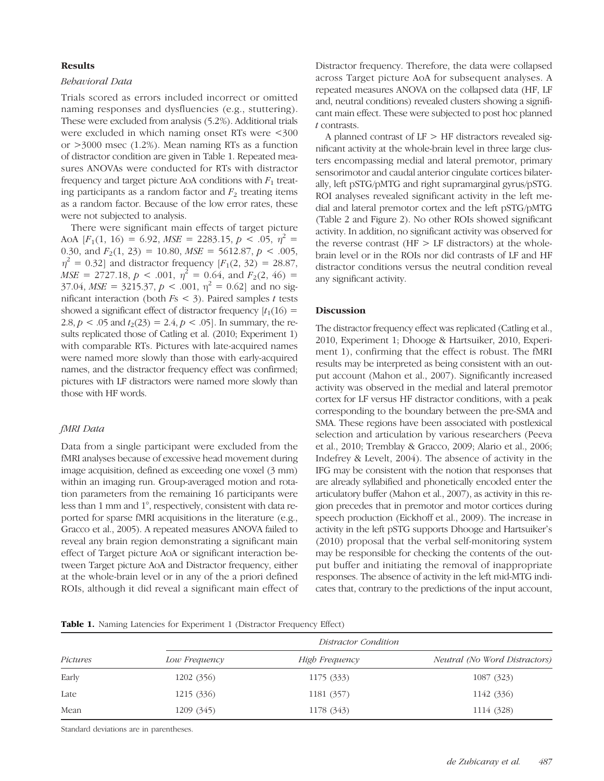#### **Results**

## Behavioral Data

Trials scored as errors included incorrect or omitted naming responses and dysfluencies (e.g., stuttering). These were excluded from analysis (5.2%). Additional trials were excluded in which naming onset RTs were <300 or >3000 msec (1.2%). Mean naming RTs as a function of distractor condition are given in Table 1. Repeated measures ANOVAs were conducted for RTs with distractor frequency and target picture AoA conditions with  $F_1$  treating participants as a random factor and  $F_2$  treating items as a random factor. Because of the low error rates, these were not subjected to analysis.

There were significant main effects of target picture AoA  $[F_1(1, 16) = 6.92, MSE = 2283.15, p < .05, \eta^2$ 0.30, and  $F_2(1, 23) = 10.80$ ,  $MSE = 5612.87$ ,  $p < .005$ ,  $\eta^2 = 0.32$ ] and distractor frequency [F<sub>1</sub>(2, 32) = 28.87,  $MSE = 2727.18, p < .001, \eta^2 = 0.64, \text{ and } F_2(2, 46) =$  $37.04$ ,  $MSE = 3215.37$ ,  $p < .001$ ,  $\eta^2 = 0.62$  and no significant interaction (both  $Fs < 3$ ). Paired samples t tests showed a significant effect of distractor frequency  $[t_1(16) =$ 2.8,  $p < .05$  and  $t<sub>2</sub>(23) = 2.4, p < .05$ . In summary, the results replicated those of Catling et al. (2010; Experiment 1) with comparable RTs. Pictures with late-acquired names were named more slowly than those with early-acquired names, and the distractor frequency effect was confirmed; pictures with LF distractors were named more slowly than those with HF words.

## fMRI Data

Data from a single participant were excluded from the fMRI analyses because of excessive head movement during image acquisition, defined as exceeding one voxel (3 mm) within an imaging run. Group-averaged motion and rotation parameters from the remaining 16 participants were less than 1 mm and 1°, respectively, consistent with data reported for sparse fMRI acquisitions in the literature (e.g., Gracco et al., 2005). A repeated measures ANOVA failed to reveal any brain region demonstrating a significant main effect of Target picture AoA or significant interaction between Target picture AoA and Distractor frequency, either at the whole-brain level or in any of the a priori defined ROIs, although it did reveal a significant main effect of

Distractor frequency. Therefore, the data were collapsed across Target picture AoA for subsequent analyses. A repeated measures ANOVA on the collapsed data (HF, LF and, neutral conditions) revealed clusters showing a significant main effect. These were subjected to post hoc planned t contrasts.

A planned contrast of  $LF$   $>$  HF distractors revealed significant activity at the whole-brain level in three large clusters encompassing medial and lateral premotor, primary sensorimotor and caudal anterior cingulate cortices bilaterally, left pSTG/pMTG and right supramarginal gyrus/pSTG. ROI analyses revealed significant activity in the left medial and lateral premotor cortex and the left pSTG/pMTG (Table 2 and Figure 2). No other ROIs showed significant activity. In addition, no significant activity was observed for the reverse contrast ( $HF > LF$  distractors) at the wholebrain level or in the ROIs nor did contrasts of LF and HF distractor conditions versus the neutral condition reveal any significant activity.

#### **Discussion**

The distractor frequency effect was replicated (Catling et al., 2010, Experiment 1; Dhooge & Hartsuiker, 2010, Experiment 1), confirming that the effect is robust. The fMRI results may be interpreted as being consistent with an output account (Mahon et al., 2007). Significantly increased activity was observed in the medial and lateral premotor cortex for LF versus HF distractor conditions, with a peak corresponding to the boundary between the pre-SMA and SMA. These regions have been associated with postlexical selection and articulation by various researchers (Peeva et al., 2010; Tremblay & Gracco, 2009; Alario et al., 2006; Indefrey & Levelt, 2004). The absence of activity in the IFG may be consistent with the notion that responses that are already syllabified and phonetically encoded enter the articulatory buffer (Mahon et al., 2007), as activity in this region precedes that in premotor and motor cortices during speech production (Eickhoff et al., 2009). The increase in activity in the left pSTG supports Dhooge and Hartsuiker's (2010) proposal that the verbal self-monitoring system may be responsible for checking the contents of the output buffer and initiating the removal of inappropriate responses. The absence of activity in the left mid-MTG indicates that, contrary to the predictions of the input account,

|  |  | Table 1. Naming Latencies for Experiment 1 (Distractor Frequency Effect) |  |  |
|--|--|--------------------------------------------------------------------------|--|--|
|--|--|--------------------------------------------------------------------------|--|--|

| Pictures |               | Distractor Condition |                               |
|----------|---------------|----------------------|-------------------------------|
|          | Low Frequency | High Frequency       | Neutral (No Word Distractors) |
| Early    | 1202 (356)    | 1175 (333)           | 1087 (323)                    |
| Late     | 1215 (336)    | 1181 (357)           | 1142 (336)                    |
| Mean     | 1209 (345)    | 1178 (343)           | 1114 (328)                    |

Standard deviations are in parentheses.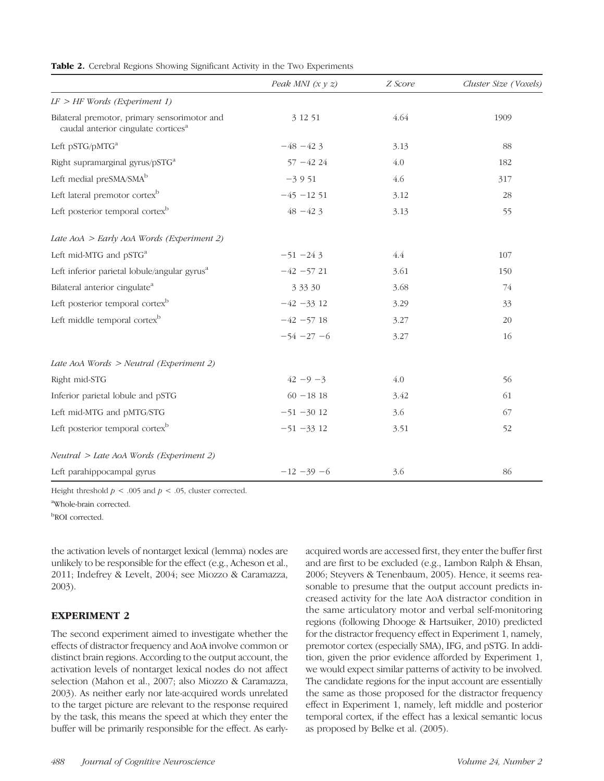|                                                                                                 | Peak MNI $(x y z)$ | Z Score | Cluster Size (Voxels) |
|-------------------------------------------------------------------------------------------------|--------------------|---------|-----------------------|
| $LF > HF$ Words (Experiment 1)                                                                  |                    |         |                       |
| Bilateral premotor, primary sensorimotor and<br>caudal anterior cingulate cortices <sup>a</sup> | 3 12 51            | 4.64    | 1909                  |
| Left pSTG/pMTG <sup>a</sup>                                                                     | $-48 - 423$        | 3.13    | 88                    |
| Right supramarginal gyrus/pSTG <sup>a</sup>                                                     | $57 - 4224$        | 4.0     | 182                   |
| Left medial preSMA/SMA <sup>b</sup>                                                             | $-3951$            | 4.6     | 317                   |
| Left lateral premotor cortex <sup>b</sup>                                                       | $-45 - 1251$       | 3.12    | 28                    |
| Left posterior temporal cortex <sup>b</sup>                                                     | $48 - 423$         | 3.13    | 55                    |
| Late $AoA > Early$ AoA Words (Experiment 2)                                                     |                    |         |                       |
| Left mid-MTG and pSTG <sup>a</sup>                                                              | $-51 - 243$        | 4.4     | 107                   |
| Left inferior parietal lobule/angular gyrus <sup>a</sup>                                        | $-42 - 5721$       | 3.61    | 150                   |
| Bilateral anterior cingulate <sup>a</sup>                                                       | 3 3 3 3 0          | 3.68    | 74                    |
| Left posterior temporal cortex <sup>b</sup>                                                     | $-42 - 33$ 12      | 3.29    | 33                    |
| Left middle temporal cortex <sup>b</sup>                                                        | $-42 - 57$ 18      | 3.27    | 20                    |
|                                                                                                 | $-54 - 27 - 6$     | 3.27    | 16                    |
| Late AoA Words > Neutral (Experiment 2)                                                         |                    |         |                       |
| Right mid-STG                                                                                   | $42 - 9 - 3$       | 4.0     | 56                    |
| Inferior parietal lobule and pSTG                                                               | $60 - 1818$        | 3.42    | 61                    |
| Left mid-MTG and pMTG/STG                                                                       | $-51 - 3012$       | 3.6     | 67                    |
| Left posterior temporal cortex <sup>b</sup>                                                     | $-51 - 33$ 12      | 3.51    | 52                    |
| $Neutral > Late$ AoA Words (Experiment 2)                                                       |                    |         |                       |
| Left parahippocampal gyrus                                                                      | $-12 - 39 - 6$     | 3.6     | 86                    |

Table 2. Cerebral Regions Showing Significant Activity in the Two Experiments

Height threshold  $p < .005$  and  $p < .05$ , cluster corrected.

a Whole-brain corrected.

b ROI corrected.

the activation levels of nontarget lexical (lemma) nodes are unlikely to be responsible for the effect (e.g., Acheson et al., 2011; Indefrey & Levelt, 2004; see Miozzo & Caramazza, 2003).

## EXPERIMENT 2

The second experiment aimed to investigate whether the effects of distractor frequency and AoA involve common or distinct brain regions. According to the output account, the activation levels of nontarget lexical nodes do not affect selection (Mahon et al., 2007; also Miozzo & Caramazza, 2003). As neither early nor late-acquired words unrelated to the target picture are relevant to the response required by the task, this means the speed at which they enter the buffer will be primarily responsible for the effect. As earlyacquired words are accessed first, they enter the buffer first and are first to be excluded (e.g., Lambon Ralph & Ehsan, 2006; Steyvers & Tenenbaum, 2005). Hence, it seems reasonable to presume that the output account predicts increased activity for the late AoA distractor condition in the same articulatory motor and verbal self-monitoring regions (following Dhooge & Hartsuiker, 2010) predicted for the distractor frequency effect in Experiment 1, namely, premotor cortex (especially SMA), IFG, and pSTG. In addition, given the prior evidence afforded by Experiment 1, we would expect similar patterns of activity to be involved. The candidate regions for the input account are essentially the same as those proposed for the distractor frequency effect in Experiment 1, namely, left middle and posterior temporal cortex, if the effect has a lexical semantic locus as proposed by Belke et al. (2005).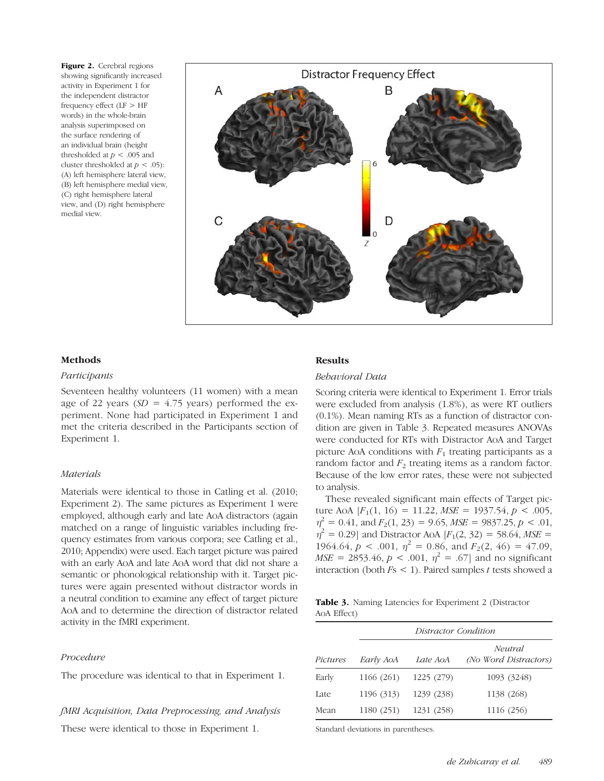Figure 2. Cerebral regions showing significantly increased activity in Experiment 1 for the independent distractor frequency effect  $(LF > HF)$ words) in the whole-brain analysis superimposed on the surface rendering of an individual brain (height thresholded at  $p < .005$  and cluster thresholded at  $p < .05$ : (A) left hemisphere lateral view, (B) left hemisphere medial view, (C) right hemisphere lateral view, and (D) right hemisphere medial view.



#### Methods

#### Participants

Seventeen healthy volunteers (11 women) with a mean age of 22 years ( $SD = 4.75$  years) performed the experiment. None had participated in Experiment 1 and met the criteria described in the Participants section of Experiment 1.

#### **Materials**

Materials were identical to those in Catling et al. (2010; Experiment 2). The same pictures as Experiment 1 were employed, although early and late AoA distractors (again matched on a range of linguistic variables including frequency estimates from various corpora; see Catling et al., 2010; Appendix) were used. Each target picture was paired with an early AoA and late AoA word that did not share a semantic or phonological relationship with it. Target pictures were again presented without distractor words in a neutral condition to examine any effect of target picture AoA and to determine the direction of distractor related activity in the fMRI experiment.

#### Procedure

The procedure was identical to that in Experiment 1.

## fMRI Acquisition, Data Preprocessing, and Analysis

These were identical to those in Experiment 1.

#### **Results**

#### Behavioral Data

Scoring criteria were identical to Experiment 1. Error trials were excluded from analysis (1.8%), as were RT outliers (0.1%). Mean naming RTs as a function of distractor condition are given in Table 3. Repeated measures ANOVAs were conducted for RTs with Distractor AoA and Target picture AoA conditions with  $F_1$  treating participants as a random factor and  $F_2$  treating items as a random factor. Because of the low error rates, these were not subjected to analysis.

These revealed significant main effects of Target picture AoA  $[F_1(1, 16) = 11.22, MSE = 1937.54, p < .005,$  $\eta^2 = 0.41$ , and  $F_2(1, 23) = 9.65$ ,  $MSE = 9837.25$ ,  $p < .01$ ,  $\eta^2 = 0.29$ ] and Distractor AoA [ $F_1(2, 32) = 58.64$ , MSE = 1964.64,  $p < .001$ ,  $\eta^2 = 0.86$ , and  $F_2(2, 46) = 47.09$ ,  $MSE = 2853.46, p < .001, \eta^2 = .67$  and no significant interaction (both  $Fs < 1$ ). Paired samples t tests showed a

Table 3. Naming Latencies for Experiment 2 (Distractor AoA Effect)

|          |            | Distractor Condition |                                  |  |  |
|----------|------------|----------------------|----------------------------------|--|--|
| Pictures | Early AoA  | Late AoA             | Neutral<br>(No Word Distractors) |  |  |
| Early    | 1166 (261) | 1225 (279)           | 1093 (3248)                      |  |  |
| Late     | 1196 (313) | 1239 (238)           | 1138 (268)                       |  |  |
| Mean     | 1180 (251) | 1231 (258)           | 1116 (256)                       |  |  |

Standard deviations in parentheses.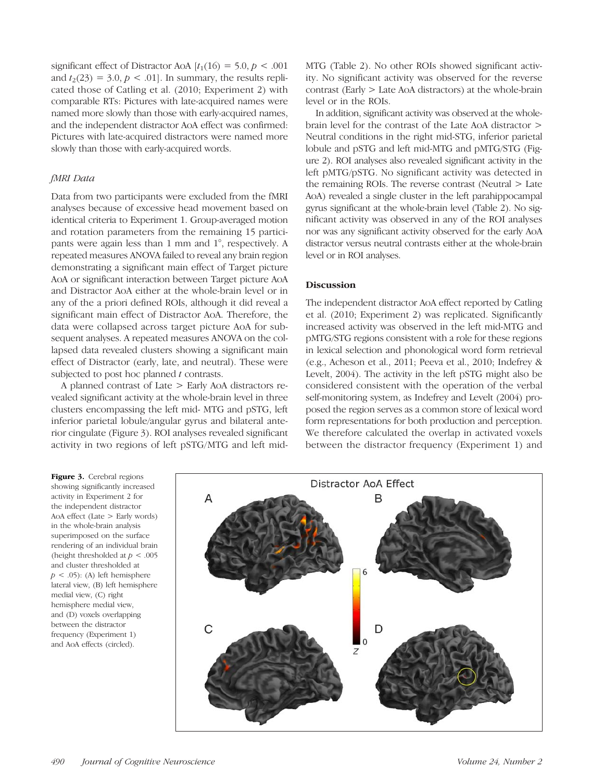significant effect of Distractor AoA  $[t_1(16) = 5.0, p < .001]$ and  $t_2(23) = 3.0, p < .01$ . In summary, the results replicated those of Catling et al. (2010; Experiment 2) with comparable RTs: Pictures with late-acquired names were named more slowly than those with early-acquired names, and the independent distractor AoA effect was confirmed: Pictures with late-acquired distractors were named more slowly than those with early-acquired words.

## fMRI Data

Data from two participants were excluded from the fMRI analyses because of excessive head movement based on identical criteria to Experiment 1. Group-averaged motion and rotation parameters from the remaining 15 participants were again less than 1 mm and 1°, respectively. A repeated measures ANOVA failed to reveal any brain region demonstrating a significant main effect of Target picture AoA or significant interaction between Target picture AoA and Distractor AoA either at the whole-brain level or in any of the a priori defined ROIs, although it did reveal a significant main effect of Distractor AoA. Therefore, the data were collapsed across target picture AoA for subsequent analyses. A repeated measures ANOVA on the collapsed data revealed clusters showing a significant main effect of Distractor (early, late, and neutral). These were subjected to post hoc planned  $t$  contrasts.

A planned contrast of Late > Early AoA distractors revealed significant activity at the whole-brain level in three clusters encompassing the left mid- MTG and pSTG, left inferior parietal lobule/angular gyrus and bilateral anterior cingulate (Figure 3). ROI analyses revealed significant activity in two regions of left pSTG/MTG and left midMTG (Table 2). No other ROIs showed significant activity. No significant activity was observed for the reverse contrast (Early > Late AoA distractors) at the whole-brain level or in the ROIs.

In addition, significant activity was observed at the wholebrain level for the contrast of the Late AoA distractor > Neutral conditions in the right mid-STG, inferior parietal lobule and pSTG and left mid-MTG and pMTG/STG (Figure 2). ROI analyses also revealed significant activity in the left pMTG/pSTG. No significant activity was detected in the remaining ROIs. The reverse contrast (Neutral > Late AoA) revealed a single cluster in the left parahippocampal gyrus significant at the whole-brain level (Table 2). No significant activity was observed in any of the ROI analyses nor was any significant activity observed for the early AoA distractor versus neutral contrasts either at the whole-brain level or in ROI analyses.

## **Discussion**

The independent distractor AoA effect reported by Catling et al. (2010; Experiment 2) was replicated. Significantly increased activity was observed in the left mid-MTG and pMTG/STG regions consistent with a role for these regions in lexical selection and phonological word form retrieval (e.g., Acheson et al., 2011; Peeva et al., 2010; Indefrey & Levelt, 2004). The activity in the left pSTG might also be considered consistent with the operation of the verbal self-monitoring system, as Indefrey and Levelt (2004) proposed the region serves as a common store of lexical word form representations for both production and perception. We therefore calculated the overlap in activated voxels between the distractor frequency (Experiment 1) and

Figure 3. Cerebral regions showing significantly increased activity in Experiment 2 for the independent distractor AoA effect (Late > Early words) in the whole-brain analysis superimposed on the surface rendering of an individual brain (height thresholded at  $p < .005$ and cluster thresholded at  $p < .05$ : (A) left hemisphere lateral view, (B) left hemisphere medial view, (C) right hemisphere medial view, and (D) voxels overlapping between the distractor frequency (Experiment 1) and AoA effects (circled).

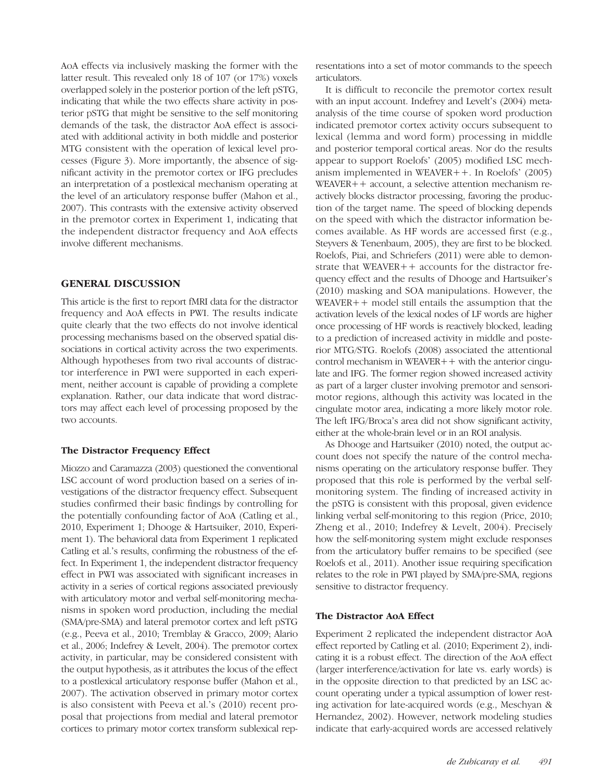AoA effects via inclusively masking the former with the latter result. This revealed only 18 of 107 (or 17%) voxels overlapped solely in the posterior portion of the left pSTG, indicating that while the two effects share activity in posterior pSTG that might be sensitive to the self monitoring demands of the task, the distractor AoA effect is associated with additional activity in both middle and posterior MTG consistent with the operation of lexical level processes (Figure 3). More importantly, the absence of significant activity in the premotor cortex or IFG precludes an interpretation of a postlexical mechanism operating at the level of an articulatory response buffer (Mahon et al., 2007). This contrasts with the extensive activity observed in the premotor cortex in Experiment 1, indicating that the independent distractor frequency and AoA effects involve different mechanisms.

## GENERAL DISCUSSION

This article is the first to report fMRI data for the distractor frequency and AoA effects in PWI. The results indicate quite clearly that the two effects do not involve identical processing mechanisms based on the observed spatial dissociations in cortical activity across the two experiments. Although hypotheses from two rival accounts of distractor interference in PWI were supported in each experiment, neither account is capable of providing a complete explanation. Rather, our data indicate that word distractors may affect each level of processing proposed by the two accounts.

## The Distractor Frequency Effect

Miozzo and Caramazza (2003) questioned the conventional LSC account of word production based on a series of investigations of the distractor frequency effect. Subsequent studies confirmed their basic findings by controlling for the potentially confounding factor of AoA (Catling et al., 2010, Experiment 1; Dhooge & Hartsuiker, 2010, Experiment 1). The behavioral data from Experiment 1 replicated Catling et al.'s results, confirming the robustness of the effect. In Experiment 1, the independent distractor frequency effect in PWI was associated with significant increases in activity in a series of cortical regions associated previously with articulatory motor and verbal self-monitoring mechanisms in spoken word production, including the medial (SMA/pre-SMA) and lateral premotor cortex and left pSTG (e.g., Peeva et al., 2010; Tremblay & Gracco, 2009; Alario et al., 2006; Indefrey & Levelt, 2004). The premotor cortex activity, in particular, may be considered consistent with the output hypothesis, as it attributes the locus of the effect to a postlexical articulatory response buffer (Mahon et al., 2007). The activation observed in primary motor cortex is also consistent with Peeva et al.'s (2010) recent proposal that projections from medial and lateral premotor cortices to primary motor cortex transform sublexical rep-

resentations into a set of motor commands to the speech articulators.

It is difficult to reconcile the premotor cortex result with an input account. Indefrey and Levelt's (2004) metaanalysis of the time course of spoken word production indicated premotor cortex activity occurs subsequent to lexical (lemma and word form) processing in middle and posterior temporal cortical areas. Nor do the results appear to support Roelofs' (2005) modified LSC mechanism implemented in WEAVER++. In Roelofs' (2005) WEAVER++ account, a selective attention mechanism reactively blocks distractor processing, favoring the production of the target name. The speed of blocking depends on the speed with which the distractor information becomes available. As HF words are accessed first (e.g., Steyvers & Tenenbaum, 2005), they are first to be blocked. Roelofs, Piai, and Schriefers (2011) were able to demonstrate that WEAVER++ accounts for the distractor frequency effect and the results of Dhooge and Hartsuiker's (2010) masking and SOA manipulations. However, the WEAVER++ model still entails the assumption that the activation levels of the lexical nodes of LF words are higher once processing of HF words is reactively blocked, leading to a prediction of increased activity in middle and posterior MTG/STG. Roelofs (2008) associated the attentional  $control$  mechanism in WEAVER $++$  with the anterior cingulate and IFG. The former region showed increased activity as part of a larger cluster involving premotor and sensorimotor regions, although this activity was located in the cingulate motor area, indicating a more likely motor role. The left IFG/Broca's area did not show significant activity, either at the whole-brain level or in an ROI analysis.

As Dhooge and Hartsuiker (2010) noted, the output account does not specify the nature of the control mechanisms operating on the articulatory response buffer. They proposed that this role is performed by the verbal selfmonitoring system. The finding of increased activity in the pSTG is consistent with this proposal, given evidence linking verbal self-monitoring to this region (Price, 2010; Zheng et al., 2010; Indefrey & Levelt, 2004). Precisely how the self-monitoring system might exclude responses from the articulatory buffer remains to be specified (see Roelofs et al., 2011). Another issue requiring specification relates to the role in PWI played by SMA/pre-SMA, regions sensitive to distractor frequency.

## The Distractor AoA Effect

Experiment 2 replicated the independent distractor AoA effect reported by Catling et al. (2010; Experiment 2), indicating it is a robust effect. The direction of the AoA effect (larger interference/activation for late vs. early words) is in the opposite direction to that predicted by an LSC account operating under a typical assumption of lower resting activation for late-acquired words (e.g., Meschyan & Hernandez, 2002). However, network modeling studies indicate that early-acquired words are accessed relatively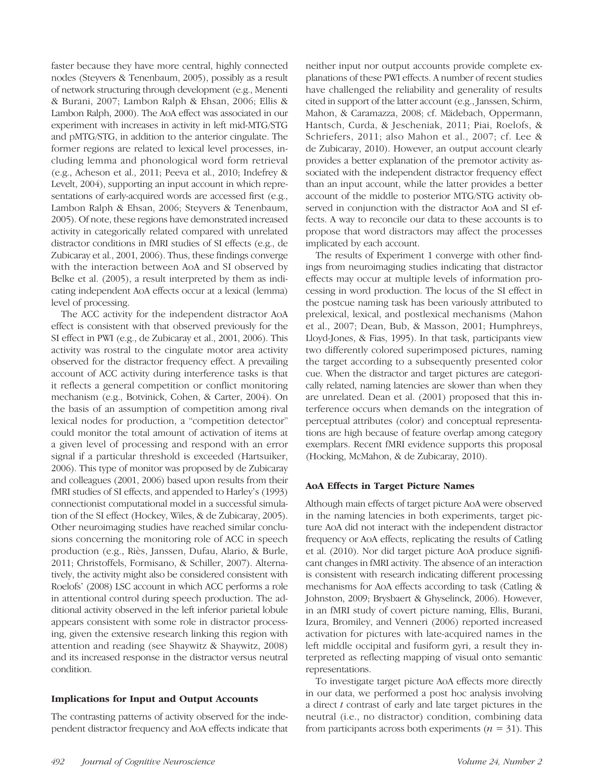faster because they have more central, highly connected nodes (Steyvers & Tenenbaum, 2005), possibly as a result of network structuring through development (e.g., Menenti & Burani, 2007; Lambon Ralph & Ehsan, 2006; Ellis & Lambon Ralph, 2000). The AoA effect was associated in our experiment with increases in activity in left mid-MTG/STG and pMTG/STG, in addition to the anterior cingulate. The former regions are related to lexical level processes, including lemma and phonological word form retrieval (e.g., Acheson et al., 2011; Peeva et al., 2010; Indefrey & Levelt, 2004), supporting an input account in which representations of early-acquired words are accessed first (e.g., Lambon Ralph & Ehsan, 2006; Steyvers & Tenenbaum, 2005). Of note, these regions have demonstrated increased activity in categorically related compared with unrelated distractor conditions in fMRI studies of SI effects (e.g., de Zubicaray et al., 2001, 2006). Thus, these findings converge with the interaction between AoA and SI observed by Belke et al. (2005), a result interpreted by them as indicating independent AoA effects occur at a lexical (lemma) level of processing.

The ACC activity for the independent distractor AoA effect is consistent with that observed previously for the SI effect in PWI (e.g., de Zubicaray et al., 2001, 2006). This activity was rostral to the cingulate motor area activity observed for the distractor frequency effect. A prevailing account of ACC activity during interference tasks is that it reflects a general competition or conflict monitoring mechanism (e.g., Botvinick, Cohen, & Carter, 2004). On the basis of an assumption of competition among rival lexical nodes for production, a "competition detector" could monitor the total amount of activation of items at a given level of processing and respond with an error signal if a particular threshold is exceeded (Hartsuiker, 2006). This type of monitor was proposed by de Zubicaray and colleagues (2001, 2006) based upon results from their fMRI studies of SI effects, and appended to Harley's (1993) connectionist computational model in a successful simulation of the SI effect (Hockey, Wiles, & de Zubicaray, 2005). Other neuroimaging studies have reached similar conclusions concerning the monitoring role of ACC in speech production (e.g., Riès, Janssen, Dufau, Alario, & Burle, 2011; Christoffels, Formisano, & Schiller, 2007). Alternatively, the activity might also be considered consistent with Roelofs' (2008) LSC account in which ACC performs a role in attentional control during speech production. The additional activity observed in the left inferior parietal lobule appears consistent with some role in distractor processing, given the extensive research linking this region with attention and reading (see Shaywitz & Shaywitz, 2008) and its increased response in the distractor versus neutral condition.

## Implications for Input and Output Accounts

The contrasting patterns of activity observed for the independent distractor frequency and AoA effects indicate that neither input nor output accounts provide complete explanations of these PWI effects. A number of recent studies have challenged the reliability and generality of results cited in support of the latter account (e.g., Janssen, Schirm, Mahon, & Caramazza, 2008; cf. Mädebach, Oppermann, Hantsch, Curda, & Jescheniak, 2011; Piai, Roelofs, & Schriefers, 2011; also Mahon et al., 2007; cf. Lee & de Zubicaray, 2010). However, an output account clearly provides a better explanation of the premotor activity associated with the independent distractor frequency effect than an input account, while the latter provides a better account of the middle to posterior MTG/STG activity observed in conjunction with the distractor AoA and SI effects. A way to reconcile our data to these accounts is to propose that word distractors may affect the processes implicated by each account.

The results of Experiment 1 converge with other findings from neuroimaging studies indicating that distractor effects may occur at multiple levels of information processing in word production. The locus of the SI effect in the postcue naming task has been variously attributed to prelexical, lexical, and postlexical mechanisms (Mahon et al., 2007; Dean, Bub, & Masson, 2001; Humphreys, Lloyd-Jones, & Fias, 1995). In that task, participants view two differently colored superimposed pictures, naming the target according to a subsequently presented color cue. When the distractor and target pictures are categorically related, naming latencies are slower than when they are unrelated. Dean et al. (2001) proposed that this interference occurs when demands on the integration of perceptual attributes (color) and conceptual representations are high because of feature overlap among category exemplars. Recent fMRI evidence supports this proposal (Hocking, McMahon, & de Zubicaray, 2010).

## AoA Effects in Target Picture Names

Although main effects of target picture AoA were observed in the naming latencies in both experiments, target picture AoA did not interact with the independent distractor frequency or AoA effects, replicating the results of Catling et al. (2010). Nor did target picture AoA produce significant changes in fMRI activity. The absence of an interaction is consistent with research indicating different processing mechanisms for AoA effects according to task (Catling & Johnston, 2009; Brysbaert & Ghyselinck, 2006). However, in an fMRI study of covert picture naming, Ellis, Burani, Izura, Bromiley, and Venneri (2006) reported increased activation for pictures with late-acquired names in the left middle occipital and fusiform gyri, a result they interpreted as reflecting mapping of visual onto semantic representations.

To investigate target picture AoA effects more directly in our data, we performed a post hoc analysis involving a direct  $t$  contrast of early and late target pictures in the neutral (i.e., no distractor) condition, combining data from participants across both experiments ( $n = 31$ ). This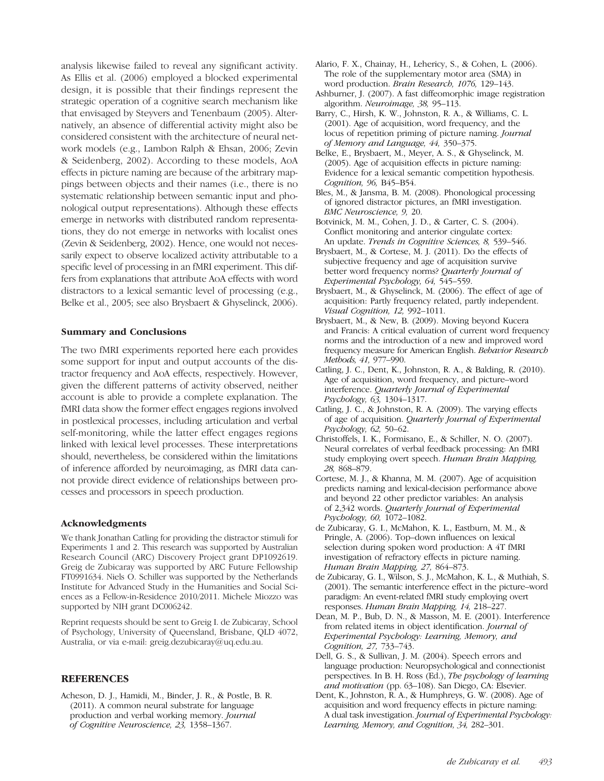analysis likewise failed to reveal any significant activity. As Ellis et al. (2006) employed a blocked experimental design, it is possible that their findings represent the strategic operation of a cognitive search mechanism like that envisaged by Steyvers and Tenenbaum (2005). Alternatively, an absence of differential activity might also be considered consistent with the architecture of neural network models (e.g., Lambon Ralph & Ehsan, 2006; Zevin & Seidenberg, 2002). According to these models, AoA effects in picture naming are because of the arbitrary mappings between objects and their names (i.e., there is no systematic relationship between semantic input and phonological output representations). Although these effects emerge in networks with distributed random representations, they do not emerge in networks with localist ones (Zevin & Seidenberg, 2002). Hence, one would not necessarily expect to observe localized activity attributable to a specific level of processing in an fMRI experiment. This differs from explanations that attribute AoA effects with word distractors to a lexical semantic level of processing (e.g., Belke et al., 2005; see also Brysbaert & Ghyselinck, 2006).

#### Summary and Conclusions

The two fMRI experiments reported here each provides some support for input and output accounts of the distractor frequency and AoA effects, respectively. However, given the different patterns of activity observed, neither account is able to provide a complete explanation. The fMRI data show the former effect engages regions involved in postlexical processes, including articulation and verbal self-monitoring, while the latter effect engages regions linked with lexical level processes. These interpretations should, nevertheless, be considered within the limitations of inference afforded by neuroimaging, as fMRI data cannot provide direct evidence of relationships between processes and processors in speech production.

## Acknowledgments

We thank Jonathan Catling for providing the distractor stimuli for Experiments 1 and 2. This research was supported by Australian Research Council (ARC) Discovery Project grant DP1092619. Greig de Zubicaray was supported by ARC Future Fellowship FT0991634. Niels O. Schiller was supported by the Netherlands Institute for Advanced Study in the Humanities and Social Sciences as a Fellow-in-Residence 2010/2011. Michele Miozzo was supported by NIH grant DC006242.

Reprint requests should be sent to Greig I. de Zubicaray, School of Psychology, University of Queensland, Brisbane, QLD 4072, Australia, or via e-mail: greig.dezubicaray@uq.edu.au.

## **REFERENCES**

Acheson, D. J., Hamidi, M., Binder, J. R., & Postle, B. R. (2011). A common neural substrate for language production and verbal working memory. Journal of Cognitive Neuroscience, 23, 1358–1367.

- Alario, F. X., Chainay, H., Lehericy, S., & Cohen, L. (2006). The role of the supplementary motor area (SMA) in word production. Brain Research, 1076, 129-143.
- Ashburner, J. (2007). A fast diffeomorphic image registration algorithm. Neuroimage, 38, 95–113.
- Barry, C., Hirsh, K. W., Johnston, R. A., & Williams, C. L. (2001). Age of acquisition, word frequency, and the locus of repetition priming of picture naming. Journal of Memory and Language, 44, 350–375.
- Belke, E., Brysbaert, M., Meyer, A. S., & Ghyselinck, M. (2005). Age of acquisition effects in picture naming: Evidence for a lexical semantic competition hypothesis. Cognition, 96, B45–B54.
- Bles, M., & Jansma, B. M. (2008). Phonological processing of ignored distractor pictures, an fMRI investigation. BMC Neuroscience, 9, 20.
- Botvinick, M. M., Cohen, J. D., & Carter, C. S. (2004). Conflict monitoring and anterior cingulate cortex: An update. Trends in Cognitive Sciences, 8, 539-546.
- Brysbaert, M., & Cortese, M. J. (2011). Do the effects of subjective frequency and age of acquisition survive better word frequency norms? Quarterly Journal of Experimental Psychology, 64, 545–559.
- Brysbaert, M., & Ghyselinck, M. (2006). The effect of age of acquisition: Partly frequency related, partly independent. Visual Cognition, 12, 992–1011.
- Brysbaert, M., & New, B. (2009). Moving beyond Kucera and Francis: A critical evaluation of current word frequency norms and the introduction of a new and improved word frequency measure for American English. Behavior Research Methods, 41, 977–990.
- Catling, J. C., Dent, K., Johnston, R. A., & Balding, R. (2010). Age of acquisition, word frequency, and picture–word interference. Quarterly Journal of Experimental Psychology, 63, 1304–1317.
- Catling, J. C., & Johnston, R. A. (2009). The varying effects of age of acquisition. Quarterly Journal of Experimental Psychology, 62, 50–62.
- Christoffels, I. K., Formisano, E., & Schiller, N. O. (2007). Neural correlates of verbal feedback processing: An fMRI study employing overt speech. Human Brain Mapping, 28, 868–879.
- Cortese, M. J., & Khanna, M. M. (2007). Age of acquisition predicts naming and lexical-decision performance above and beyond 22 other predictor variables: An analysis of 2,342 words. Quarterly Journal of Experimental Psychology, 60, 1072–1082.
- de Zubicaray, G. I., McMahon, K. L., Eastburn, M. M., & Pringle, A. (2006). Top–down influences on lexical selection during spoken word production: A 4T fMRI investigation of refractory effects in picture naming. Human Brain Mapping, 27, 864–873.
- de Zubicaray, G. I., Wilson, S. J., McMahon, K. L., & Muthiah, S. (2001). The semantic interference effect in the picture–word paradigm: An event-related fMRI study employing overt responses. Human Brain Mapping, 14, 218–227.
- Dean, M. P., Bub, D. N., & Masson, M. E. (2001). Interference from related items in object identification. Journal of Experimental Psychology: Learning, Memory, and Cognition, 27, 733–743.
- Dell, G. S., & Sullivan, J. M. (2004). Speech errors and language production: Neuropsychological and connectionist perspectives. In B. H. Ross (Ed.), The psychology of learning and motivation (pp. 63–108). San Diego, CA: Elsevier.
- Dent, K., Johnston, R. A., & Humphreys, G. W. (2008). Age of acquisition and word frequency effects in picture naming: A dual task investigation. Journal of Experimental Psychology: Learning, Memory, and Cognition, 34, 282–301.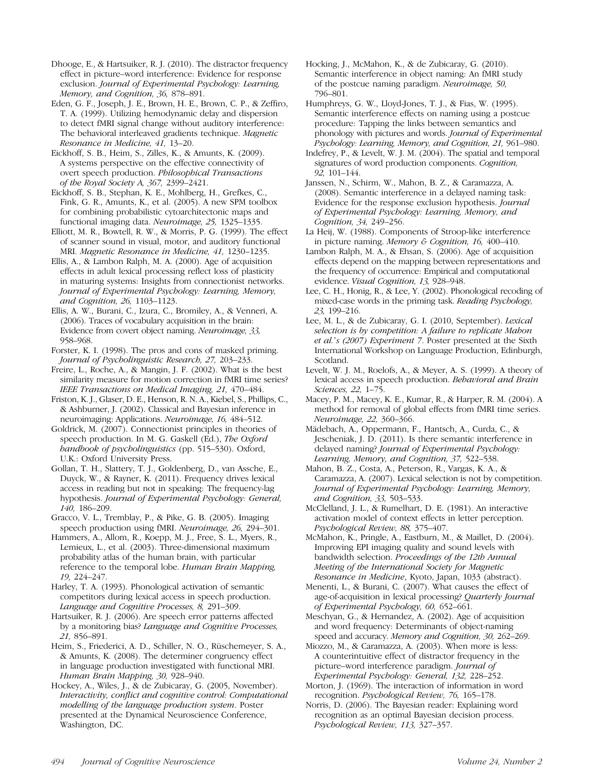Dhooge, E., & Hartsuiker, R. J. (2010). The distractor frequency effect in picture–word interference: Evidence for response exclusion. Journal of Experimental Psychology: Learning, Memory, and Cognition, 36, 878-891.

Eden, G. F., Joseph, J. E., Brown, H. E., Brown, C. P., & Zeffiro, T. A. (1999). Utilizing hemodynamic delay and dispersion to detect fMRI signal change without auditory interference: The behavioral interleaved gradients technique. Magnetic Resonance in Medicine, 41, 13–20.

Eickhoff, S. B., Heim, S., Zilles, K., & Amunts, K. (2009). A systems perspective on the effective connectivity of overt speech production. Philosophical Transactions of the Royal Society A, 367, 2399–2421.

Eickhoff, S. B., Stephan, K. E., Mohlberg, H., Grefkes, C., Fink, G. R., Amunts, K., et al. (2005). A new SPM toolbox for combining probabilistic cytoarchitectonic maps and functional imaging data. Neuroimage, 25, 1325–1335.

Elliott, M. R., Bowtell, R. W., & Morris, P. G. (1999). The effect of scanner sound in visual, motor, and auditory functional MRI. Magnetic Resonance in Medicine, 41, 1230–1235.

Ellis, A., & Lambon Ralph, M. A. (2000). Age of acquisition effects in adult lexical processing reflect loss of plasticity in maturing systems: Insights from connectionist networks. Journal of Experimental Psychology: Learning, Memory, and Cognition, 26, 1103–1123.

Ellis, A. W., Burani, C., Izura, C., Bromiley, A., & Venneri, A. (2006). Traces of vocabulary acquisition in the brain: Evidence from covert object naming. Neuroimage, 33, 958–968.

Forster, K. I. (1998). The pros and cons of masked priming. Journal of Psycholinguistic Research, 27, 203–233.

Freire, L., Roche, A., & Mangin, J. F. (2002). What is the best similarity measure for motion correction in fMRI time series? IEEE Transactions on Medical Imaging, 21, 470–484.

Friston, K. J., Glaser, D. E., Henson, R. N. A., Kiebel, S., Phillips, C., & Ashburner, J. (2002). Classical and Bayesian inference in neuroimaging: Applications. Neuroimage, 16, 484–512.

Goldrick, M. (2007). Connectionist principles in theories of speech production. In M. G. Gaskell (Ed.), The Oxford handbook of psycholinguistics (pp. 515–530). Oxford, U.K.: Oxford University Press.

Gollan, T. H., Slattery, T. J., Goldenberg, D., van Assche, E., Duyck, W., & Rayner, K. (2011). Frequency drives lexical access in reading but not in speaking: The frequency-lag hypothesis. Journal of Experimental Psychology: General, 140, 186–209.

Gracco, V. L., Tremblay, P., & Pike, G. B. (2005). Imaging speech production using fMRI. Neuroimage, 26, 294–301.

Hammers, A., Allom, R., Koepp, M. J., Free, S. L., Myers, R., Lemieux, L., et al. (2003). Three-dimensional maximum probability atlas of the human brain, with particular reference to the temporal lobe. Human Brain Mapping, 19, 224–247.

Harley, T. A. (1993). Phonological activation of semantic competitors during lexical access in speech production. Language and Cognitive Processes, 8, 291–309.

Hartsuiker, R. J. (2006). Are speech error patterns affected by a monitoring bias? Language and Cognitive Processes, 21, 856–891.

Heim, S., Friederici, A. D., Schiller, N. O., Rüschemeyer, S. A., & Amunts, K. (2008). The determiner congruency effect in language production investigated with functional MRI. Human Brain Mapping, 30, 928–940.

Hockey, A., Wiles, J., & de Zubicaray, G. (2005, November). Interactivity, conflict and cognitive control: Computational modelling of the language production system. Poster presented at the Dynamical Neuroscience Conference, Washington, DC.

Hocking, J., McMahon, K., & de Zubicaray, G. (2010). Semantic interference in object naming: An fMRI study of the postcue naming paradigm. Neuroimage, 50, 796–801.

Humphreys, G. W., Lloyd-Jones, T. J., & Fias, W. (1995). Semantic interference effects on naming using a postcue procedure: Tapping the links between semantics and phonology with pictures and words. Journal of Experimental Psychology: Learning, Memory, and Cognition, 21, 961–980.

Indefrey, P., & Levelt, W. J. M. (2004). The spatial and temporal signatures of word production components. Cognition, 92, 101–144.

Janssen, N., Schirm, W., Mahon, B. Z., & Caramazza, A. (2008). Semantic interference in a delayed naming task: Evidence for the response exclusion hypothesis. Journal of Experimental Psychology: Learning, Memory, and Cognition, 34, 249–256.

La Heij, W. (1988). Components of Stroop-like interference in picture naming. Memory & Cognition, 16, 400-410.

Lambon Ralph, M. A., & Ehsan, S. (2006). Age of acquisition effects depend on the mapping between representations and the frequency of occurrence: Empirical and computational evidence. Visual Cognition, 13, 928–948.

Lee, C. H., Honig, R., & Lee, Y. (2002). Phonological recoding of mixed-case words in the priming task. Reading Psychology, 23, 199–216.

Lee, M. L., & de Zubicaray, G. I. (2010, September). Lexical selection is by competition: A failure to replicate Mahon et al.'s (2007) Experiment 7. Poster presented at the Sixth International Workshop on Language Production, Edinburgh, Scotland.

Levelt, W. J. M., Roelofs, A., & Meyer, A. S. (1999). A theory of lexical access in speech production. Behavioral and Brain Sciences, 22, 1–75.

Macey, P. M., Macey, K. E., Kumar, R., & Harper, R. M. (2004). A method for removal of global effects from fMRI time series. Neuroimage, 22, 360–366.

Mädebach, A., Oppermann, F., Hantsch, A., Curda, C., & Jescheniak, J. D. (2011). Is there semantic interference in delayed naming? Journal of Experimental Psychology: Learning, Memory, and Cognition, 37, 522–538.

Mahon, B. Z., Costa, A., Peterson, R., Vargas, K. A., & Caramazza, A. (2007). Lexical selection is not by competition. Journal of Experimental Psychology: Learning, Memory, and Cognition, 33, 503–533.

McClelland, J. L., & Rumelhart, D. E. (1981). An interactive activation model of context effects in letter perception. Psychological Review, 88, 375–407.

McMahon, K., Pringle, A., Eastburn, M., & Maillet, D. (2004). Improving EPI imaging quality and sound levels with bandwidth selection. Proceedings of the 12th Annual Meeting of the International Society for Magnetic Resonance in Medicine, Kyoto, Japan, 1033 (abstract).

Menenti, L., & Burani, C. (2007). What causes the effect of age-of-acquisition in lexical processing? Quarterly Journal of Experimental Psychology, 60, 652–661.

Meschyan, G., & Hernandez, A. (2002). Age of acquisition and word frequency: Determinants of object-naming speed and accuracy. Memory and Cognition, 30, 262–269.

Miozzo, M., & Caramazza, A. (2003). When more is less: A counterintuitive effect of distractor frequency in the picture–word interference paradigm. Journal of Experimental Psychology: General, 132, 228–252.

Morton, J. (1969). The interaction of information in word recognition. Psychological Review, 76, 165–178.

Norris, D. (2006). The Bayesian reader: Explaining word recognition as an optimal Bayesian decision process. Psychological Review, 113, 327–357.